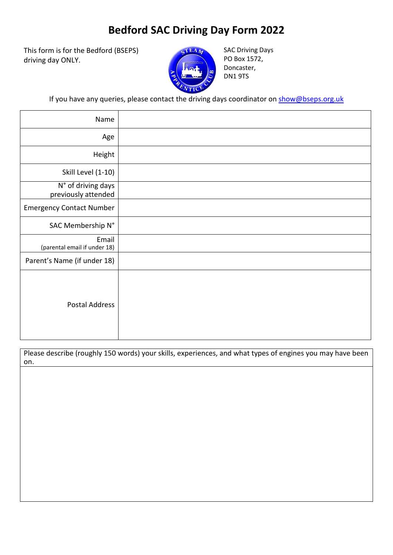## **Bedford SAC Driving Day Form 2022**

This form is for the Bedford (BSEPS) driving day ONLY.



SAC Driving Days PO Box 1572, Doncaster, DN1 9TS

If you have any queries, please contact the driving days coordinator on [show@bseps.org.uk](mailto:show@bseps.org.uk)

| Name                                      |  |
|-------------------------------------------|--|
| Age                                       |  |
| Height                                    |  |
| Skill Level (1-10)                        |  |
| N° of driving days<br>previously attended |  |
| <b>Emergency Contact Number</b>           |  |
| SAC Membership N°                         |  |
| Email<br>(parental email if under 18)     |  |
| Parent's Name (if under 18)               |  |
| <b>Postal Address</b>                     |  |

Please describe (roughly 150 words) your skills, experiences, and what types of engines you may have been on.